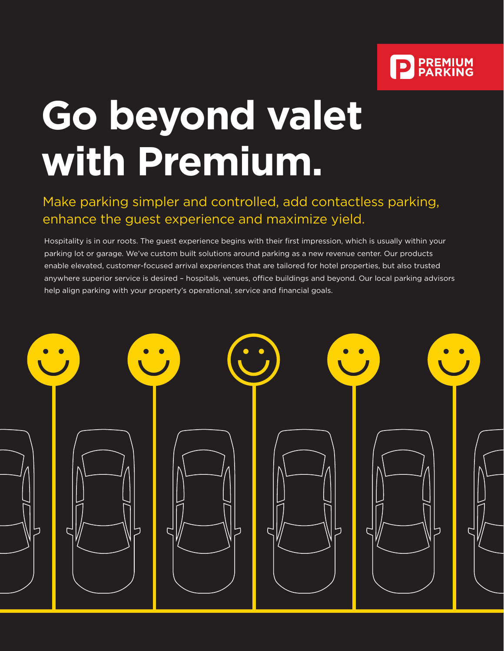

# **Go beyond valet with Premium.**

### Make parking simpler and controlled, add contactless parking, enhance the guest experience and maximize yield.

Hospitality is in our roots. The guest experience begins with their first impression, which is usually within your parking lot or garage. We've custom built solutions around parking as a new revenue center. Our products enable elevated, customer-focused arrival experiences that are tailored for hotel properties, but also trusted anywhere superior service is desired – hospitals, venues, office buildings and beyond. Our local parking advisors help align parking with your property's operational, service and financial goals.